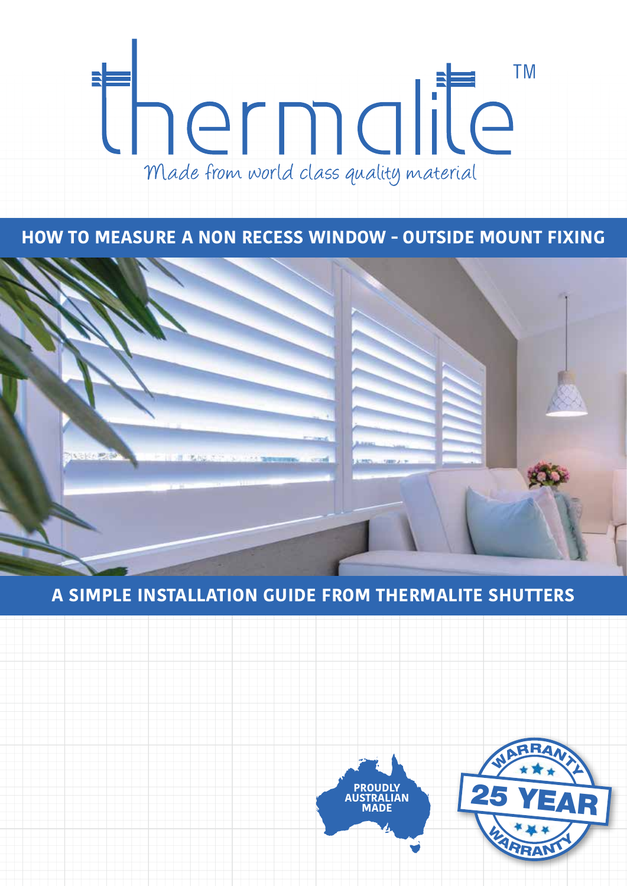# **TM** E thermalite Made from world class quality material

**HOW TO MEASURE A NON RECESS WINDOW - OUTSIDE MOUNT FIXING**



## **A SIMPLE INSTALLATION GUIDE FROM THERMALITE SHUTTERS**



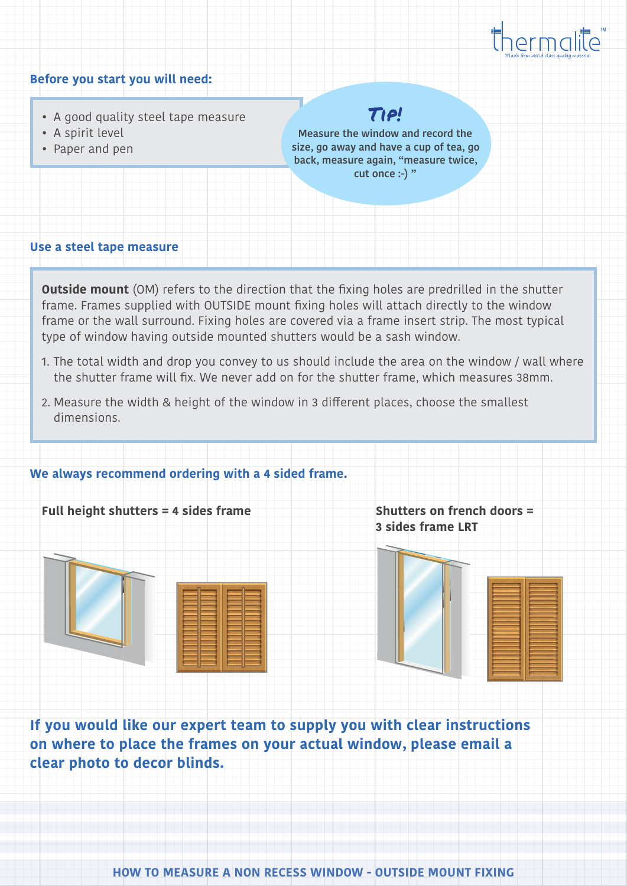

#### **Before you start you will need:**

- A good quality steel tape measure
- A spirit level
- Paper and pen

## Tip!

**Measure the window and record the size, go away and have a cup of tea, go back, measure again, "measure twice, cut once :-) "**

#### **Use a steel tape measure**

**Outside mount** (OM) refers to the direction that the fixing holes are predrilled in the shutter frame. Frames supplied with OUTSIDE mount fixing holes will attach directly to the window frame or the wall surround. Fixing holes are covered via a frame insert strip. The most typical type of window having outside mounted shutters would be a sash window.

- 1. The total width and drop you convey to us should include the area on the window / wall where the shutter frame will fix. We never add on for the shutter frame, which measures 38mm.
- 2. Measure the width & height of the window in 3 different places, choose the smallest dimensions.

#### **We always recommend ordering with a 4 sided frame.**

Full height shutters = 4 sides frame **3 sides frame LRT**

**If you would like our expert team to supply you with clear instructions on where to place the frames on your actual window, please email a clear photo to decor blinds.**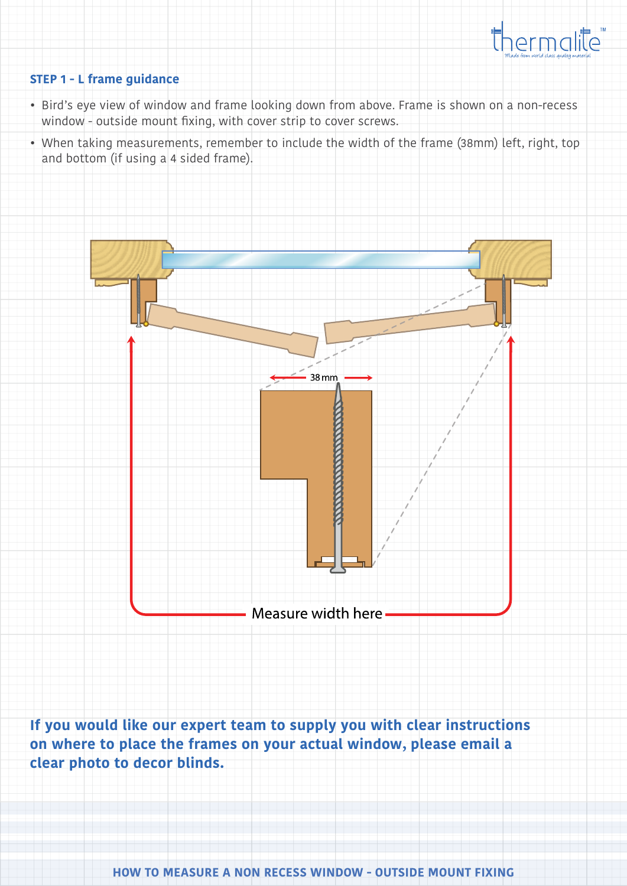

### **STEP 1 - L frame guidance**

- Bird's eye view of window and frame looking down from above. Frame is shown on a non-recess window - outside mount fixing, with cover strip to cover screws.
- When taking measurements, remember to include the width of the frame (38mm) left, right, top and bottom (if using a 4 sided frame).



**If you would like our expert team to supply you with clear instructions on where to place the frames on your actual window, please email a clear photo to decor blinds.**